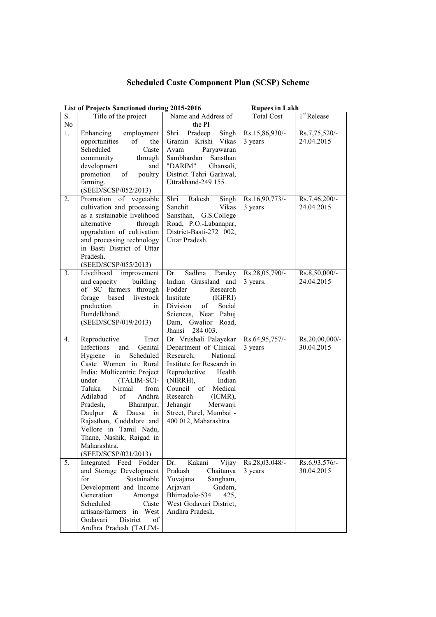## **Scheduled Caste Component Plan (SCSP) Scheme**

|                  | <b>List of Projects Sanctioned during 2015-2016</b>                                                                                                                                                                                                                                                                                                                                                        |                                                                                                                                                                                                                                                                                      | <b>Rupees in Lakh</b>      |                              |
|------------------|------------------------------------------------------------------------------------------------------------------------------------------------------------------------------------------------------------------------------------------------------------------------------------------------------------------------------------------------------------------------------------------------------------|--------------------------------------------------------------------------------------------------------------------------------------------------------------------------------------------------------------------------------------------------------------------------------------|----------------------------|------------------------------|
| S.<br>No         | Title of the project                                                                                                                                                                                                                                                                                                                                                                                       | Name and Address of<br>the PI                                                                                                                                                                                                                                                        | <b>Total Cost</b>          | 1 <sup>st</sup> Release      |
| 1.               | Enhancing<br>employment<br>opportunities<br>of<br>the<br>Scheduled<br>Caste<br>community<br>through<br>development<br>and<br>poultry<br>promotion<br>of<br>farming.<br>(SEED/SCSP/052/2013)                                                                                                                                                                                                                | Pradeep<br>Singh<br>Shri<br>Gramin Krishi Vikas<br>Avam<br>Paryawaran<br>Sambhardan<br>Sansthan<br>"DARIM"<br>Ghansali,<br>District Tehri Garhwal,<br>Uttrakhand-249 155.                                                                                                            | Rs.15,86,930/-<br>3 years  | Rs.7,75,520/-<br>24.04.2015  |
| 2.               | Promotion of vegetable<br>cultivation and processing<br>as a sustainable livelihood<br>alternative<br>through<br>upgradation of cultivation<br>and processing technology<br>in Basti District of Uttar<br>Pradesh.<br>(SEED/SCSP/055/2013)                                                                                                                                                                 | Rakesh<br>Shri<br>Singh<br>Vikas<br>Sanchit<br>Sansthan, G.S.College<br>Road, P.O.-Labanapar,<br>District-Basti-272 002,<br>Uttar Pradesh.                                                                                                                                           | Rs.16,90,773/-<br>3 years  | Rs.7,46,200/-<br>24.04.2015  |
| 3.               | Livelihood<br>improvement<br>building<br>and capacity<br>of SC farmers through<br>based livestock<br>forage<br>production<br>in<br>Bundelkhand.<br>(SEED/SCSP/019/2013)                                                                                                                                                                                                                                    | Sadhna<br>Pandey<br>Dr.<br>Indian Grassland and<br>Fodder<br>Research<br>Institute<br>(IGFRI)<br>Division<br>of<br>Social<br>Sciences, Near Pahuj<br>Dam, Gwalior<br>Road,<br>Jhansi<br>284 003.                                                                                     | Rs.28,05,790/-<br>3 years. | Rs.8,50,000/-<br>24.04.2015  |
| 4.               | Reproductive<br>Tract<br>Infections<br>Genital<br>and<br>Scheduled<br>Hygiene in<br>Caste Women in Rural<br>India: Multicentric Project<br>under<br>(TALIM-SC)-<br>Nirmal<br>Taluka<br>from<br>Andhra<br>Adilabad<br>of<br>Pradesh,<br>Bharatpur,<br>Daulpur<br>Dausa<br>&<br>in<br>Rajasthan, Cuddalore and<br>Vellore in Tamil Nadu,<br>Thane, Nashik, Raigad in<br>Maharashtra.<br>(SEED/SCSP/021/2013) | Dr. Vrushali Palayekar<br>Department of Clinical<br>Research,<br>National<br>Institute for Research in<br>Reproductive<br>Health<br>(NIRRH),<br>Indian<br>Council<br>Medical<br>of<br>Research<br>(ICMR),<br>Jehangir<br>Merwanji<br>Street, Parel, Mumbai -<br>400 012, Maharashtra | Rs.64,95,757/-<br>3 years  | Rs.20,00,000/-<br>30.04.2015 |
| $\overline{5}$ . | Integrated<br>Feed<br>Fodder<br>and Storage Development<br>for<br>Sustainable<br>Development and Income<br>Generation<br>Amongst<br>Scheduled<br>Caste<br>artisans/farmers in West<br>Godavari<br>District<br>οf<br>Andhra Pradesh (TALIM-                                                                                                                                                                 | Kakani<br>Vijay<br>Dr.<br>Prakash<br>Chaitanya<br>Yuvajana<br>Sangham,<br>Gudem,<br>Arjavari<br>Bhimadole-534<br>425,<br>West Godavari District,<br>Andhra Pradesh.                                                                                                                  | Rs.28,03,048/-<br>3 years  | $Rs.693,576/-$<br>30.04.2015 |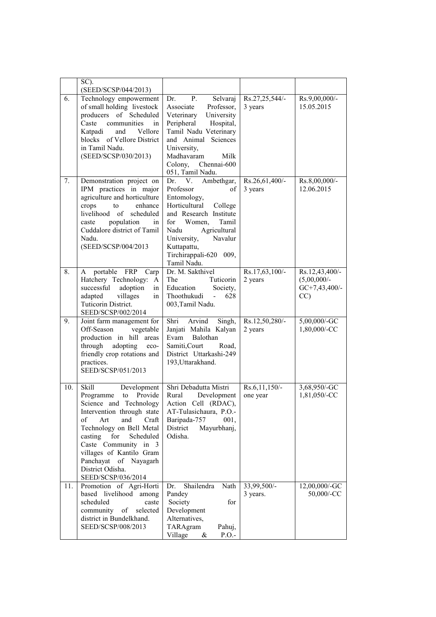|     | SC).                                                                                                                                                                                                                                                                                                                       |                                                                                                                                                                                                                                                  |                               |                                                           |
|-----|----------------------------------------------------------------------------------------------------------------------------------------------------------------------------------------------------------------------------------------------------------------------------------------------------------------------------|--------------------------------------------------------------------------------------------------------------------------------------------------------------------------------------------------------------------------------------------------|-------------------------------|-----------------------------------------------------------|
|     | (SEED/SCSP/044/2013)                                                                                                                                                                                                                                                                                                       |                                                                                                                                                                                                                                                  |                               |                                                           |
| 6.  | Technology empowerment<br>of small holding livestock<br>producers of Scheduled<br>communities<br>Caste<br>in<br>Katpadi<br>and<br>Vellore<br>blocks of Vellore District<br>in Tamil Nadu.<br>(SEED/SCSP/030/2013)                                                                                                          | <b>P.</b><br>Selvaraj<br>Dr.<br>Professor,<br>Associate<br>Veterinary<br>University<br>Peripheral<br>Hospital,<br>Tamil Nadu Veterinary<br>and Animal Sciences<br>University,<br>Madhavaram<br>Milk<br>Colony, Chennai-600<br>051, Tamil Nadu.   | Rs.27,25,544/-<br>3 years     | Rs.9,00,000/-<br>15.05.2015                               |
| 7.  | Demonstration project on<br>IPM practices in major<br>agriculture and horticulture<br>crops<br>to<br>enhance<br>livelihood of<br>scheduled<br>population<br>caste<br>in<br>Cuddalore district of Tamil<br>Nadu.<br>(SEED/SCSP/004/2013                                                                                     | V.<br>Ambethgar,<br>Dr.<br>Professor<br>of<br>Entomology,<br>Horticultural<br>College<br>and Research Institute<br>for Women,<br>Tamil<br>Agricultural<br>Nadu<br>Navalur<br>University,<br>Kuttapattu,<br>Tirchirappali-620 009,<br>Tamil Nadu. | Rs.26,61,400/-<br>3 years     | Rs.8,00,000/-<br>12.06.2015                               |
| 8.  | A portable FRP Carp<br>Hatchery Technology:<br>$\mathbf{A}$<br>successful<br>adoption<br>in<br>adapted<br>villages<br>in<br>Tuticorin District.<br>SEED/SCSP/002/2014                                                                                                                                                      | Dr. M. Sakthivel<br>The<br>Tuticorin<br>Society,<br>Education<br>Thoothukudi -<br>628<br>003, Tamil Nadu.                                                                                                                                        | Rs.17,63,100/-<br>2 years     | Rs.12,43,400/-<br>$(5,00,000/-$<br>$GC+7,43,400/$ -<br>CC |
| 9.  | Joint farm management for<br>Off-Season<br>vegetable<br>production in hill areas<br>through<br>adopting<br>eco-<br>friendly crop rotations and<br>practices.<br>SEED/SCSP/051/2013                                                                                                                                         | Arvind<br>Shri<br>Singh,<br>Janjati Mahila Kalyan<br>Evam Balothan<br>Samiti, Court<br>Road,<br>District Uttarkashi-249<br>193, Uttarakhand.                                                                                                     | Rs.12,50,280/-<br>2 years     | 5,00,000/-GC<br>1,80,000/-CC                              |
| 10. | <b>Skill</b><br>Development<br>Programme to Provide<br>Science and Technology<br>Intervention through state<br>Art<br>Craft<br>of<br>and<br>Technology on Bell Metal<br>casting<br>for<br>Scheduled<br>Caste Community in 3<br>villages of Kantilo Gram<br>Panchayat of Nayagarh<br>District Odisha.<br>SEED/SCSP/036/2014 | Shri Debadutta Mistri<br>Rural Development<br>Action Cell (RDAC),<br>AT-Tulasichaura, P.O.-<br>Baripada-757<br>001,<br>Mayurbhanj,<br>District<br>Odisha.                                                                                        | $Rs.6, 11, 150/-$<br>one year | 3,68,950/-GC<br>1,81,050/-CC                              |
| 11. | Promotion of Agri-Horti<br>based livelihood among<br>scheduled<br>caste<br>community of<br>selected<br>district in Bundelkhand.<br>SEED/SCSP/008/2013                                                                                                                                                                      | Shailendra<br>Nath<br>Dr.<br>Pandey<br>Society<br>for<br>Development<br>Alternatives,<br>TARAgram<br>Pahuj,<br>Village<br>$\&$<br>$P.O.$ -                                                                                                       | 33,99,500/-<br>3 years.       | $12,00,000$ /-GC<br>50,000/-CC                            |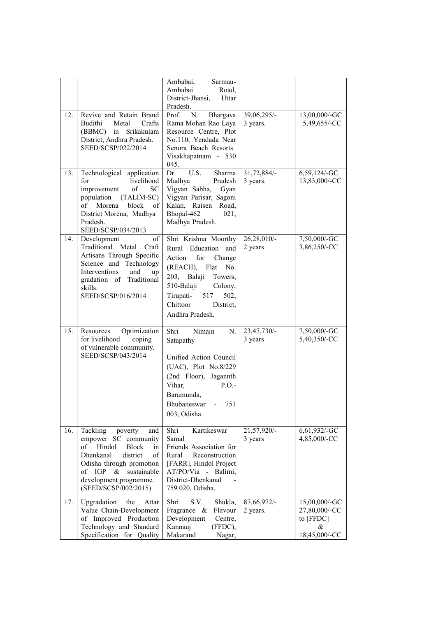|     |                                                                                                                                                                                                                             | Ambabai,<br>Sarmau-                                                                                                                                                                                                          |                         |                                                                   |
|-----|-----------------------------------------------------------------------------------------------------------------------------------------------------------------------------------------------------------------------------|------------------------------------------------------------------------------------------------------------------------------------------------------------------------------------------------------------------------------|-------------------------|-------------------------------------------------------------------|
|     |                                                                                                                                                                                                                             | Ambabai<br>Road,                                                                                                                                                                                                             |                         |                                                                   |
|     |                                                                                                                                                                                                                             | District-Jhansi,<br>Uttar<br>Pradesh.                                                                                                                                                                                        |                         |                                                                   |
| 12. | Revive and Retain Brand<br><b>Budithi</b><br>Metal<br>Crafts<br>(BBMC) in<br>Srikakulam<br>District, Andhra Pradesh.<br>SEED/SCSP/022/2014                                                                                  | Prof.<br>Bhargava<br>N.<br>Rama Mohan Rao Laya<br>Resource Centre, Plot<br>No.110, Yendada Near<br>Senora Beach Resorts<br>Visakhapatnam - 530<br>045.                                                                       | 39,06,295/-<br>3 years. | 13,00,000/-GC<br>5,49,655/-CC                                     |
| 13. | Technological application<br>livelihood<br>for<br>improvement<br>$\sigma$ f<br>SC<br>population<br>$(TALIM-SC)$<br>Morena<br>block<br>of<br>of 1<br>District Morena, Madhya<br>Pradesh.<br>SEED/SCSP/034/2013               | U.S.<br>Dr.<br>Sharma<br>Madhya<br>Pradesh<br>Vigyan Sabha,<br>Gyan<br>Vigyan Parisar, Sagoni<br>Kalan, Raisen Road,<br>Bhopal-462<br>021,<br>Madhya Pradesh.                                                                | 31,72,884/-<br>3 years. | 6,59,124/-GC<br>13,83,000/-CC                                     |
| 14. | Development<br>of<br>Traditional Metal Craft<br>Artisans Through Specific<br>Science and Technology<br>Interventions<br>and<br>up<br>gradation of Traditional<br>skills.<br>SEED/SCSP/016/2014                              | Shri Krishna Moorthy<br>Rural Education<br>and<br>Action<br>for<br>Change<br>(REACH), Flat<br>No.<br>203, Balaji<br>Towers,<br>510-Balaji<br>Colony,<br>Tirupati-<br>517<br>502,<br>Chittoor<br>District.<br>Andhra Pradesh. | 26,28,010/-<br>2 years  | 7,50,000/-GC<br>3,86,250/-CC                                      |
| 15. | Optimization<br>Resources<br>for livelihood<br>coping<br>of vulnerable community.<br>SEED/SCSP/043/2014                                                                                                                     | Shri<br>Nimain<br>N.<br>Satapathy<br>Unified Action Council<br>(UAC), Plot No.8/229<br>(2nd Floor), Jagannth<br>Vihar,<br>P.O.<br>Baramunda,<br>Bhubaneswar<br>751<br>$\sim$<br>003, Odisha.                                 | 23,47,730/-<br>3 years  | 7,50,000/-GC<br>5,40,350/-CC                                      |
| 16. | Tackling<br>poverty<br>and<br>empower SC community<br>Hindol<br>of<br>Block<br>in<br>Dhenkanal<br>district<br>of<br>Odisha through promotion<br>of IGP<br>$&$ sustainable<br>development programme.<br>(SEED/SCSP/002/2015) | Kartikeswar<br>Shri<br>Samal<br>Friends Association for<br>Rural<br>Reconstruction<br>[FARR], Hindol Project<br>AT/PO/Via - Balimi,<br>District-Dhenkanal<br>759 020, Odisha.                                                | 21,57,920/-<br>3 years  | 6,61,932/-GC<br>4,85,000/-CC                                      |
| 17. | Upgradation<br>the<br>Attar<br>Value Chain-Development<br>of Improved Production<br>Technology and Standard<br>Specification for Quality                                                                                    | S.V.<br>Shri<br>Shukla,<br>Fragrance &<br>Flavour<br>Development<br>Centre,<br>Kannauj<br>(FFDC),<br>Makarand<br>Nagar,                                                                                                      | 87,66,972/-<br>2 years. | 15,00,000/-GC<br>27,80,000/-CC<br>to [FFDC]<br>&<br>18,45,000/-CC |